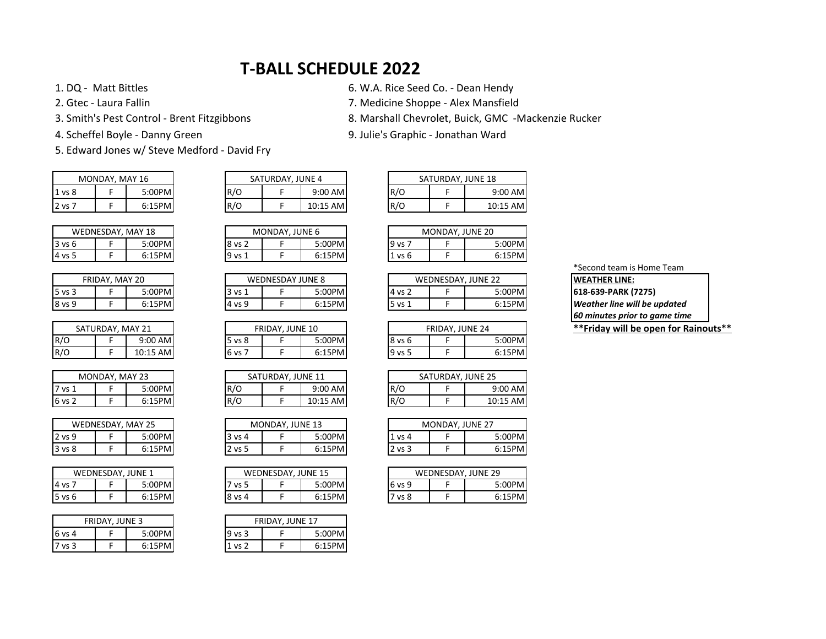## **T-BALL SCHEDULE 2022**

5. Edward Jones w/ Steve Medford - David Fry

|        | MONDAY, MAY 16 |        |
|--------|----------------|--------|
| 1 vs 8 |                | 5:00PM |
| 2 vs 7 |                | 6:15PM |

| WEDNESDAY, MAY 18 |  |        |  |
|-------------------|--|--------|--|
| 3 vs 6            |  | 5:00PM |  |
| 14 vs 5           |  | 6:15PM |  |

|        | FRIDAY, MAY 20 |        |
|--------|----------------|--------|
| 5 vs 3 |                | 5:00PM |
| 8 vs 9 |                | 6:15PM |

| SATURDAY, MAY 21 |  |          |  |
|------------------|--|----------|--|
| R/O              |  | 9:00 AM  |  |
| R/O              |  | 10:15 AM |  |

| MONDAY, MAY 23 |  |        |  |
|----------------|--|--------|--|
| <b>17 vs 1</b> |  | 5:00PM |  |
| 6 vs 2         |  | 6:15PM |  |

|        | WEDNESDAY, MAY 25 |        |  |  |
|--------|-------------------|--------|--|--|
| 2 vs 9 |                   | 5:00PM |  |  |
| 3 vs 8 |                   | 6:15PM |  |  |

|            | WEDNESDAY, JUNE 1 |        |
|------------|-------------------|--------|
| 4 vs 7     |                   | 5:00PM |
| $5$ vs $6$ |                   | 6:15PM |

| <b>FRIDAY, JUNE 3</b> |  |        | <b>FRIDAY, JUNE 17</b> |  |        |
|-----------------------|--|--------|------------------------|--|--------|
| 6 vs 4                |  | 5:00PM | $9$ vs $3$             |  | 5:00PM |
| vs <sub>3</sub>       |  | 6:15PM | $\sim$ vs $\degree$    |  | 6:15PM |

1. DQ - Matt Bittles 6. W.A. Rice Seed Co. - Dean Hendy

2. Gtec - Laura Fallin 7. Medicine Shoppe - Alex Mansfield

3. Smith's Pest Control - Brent Fitzgibbons 8. Marshall Chevrolet, Buick, GMC -Mackenzie Rucker

4. Scheffel Boyle - Danny Green 9. Julie's Graphic - Jonathan Ward

| 9:00 AM  |
|----------|
| 10:15 AM |
|          |

|                   | MONDAY, MAY 16 |        | SATURDAY, JUNE 4 |  |           | SATURDAY, JUNE 18 |  |           |
|-------------------|----------------|--------|------------------|--|-----------|-------------------|--|-----------|
| 1 <sub>vs</sub> 8 |                | 5:00PM | R/O              |  | $9:00$ AM | R/O               |  | $9:00$ AM |
| 2 vs 7            |                | 6:15PM | R/O              |  | 10:15 AM  | R/O               |  | 10:15 AM  |

| MONDAY, JUNE 6 |        |  |
|----------------|--------|--|
|                | 5:00PM |  |
|                | 6:15PM |  |

| <b>WEDNESDAY JUNE 8</b> |  |         |  |  |  |
|-------------------------|--|---------|--|--|--|
| vs 1                    |  | 5:00PM  |  |  |  |
| vs 9                    |  | 6:15PMI |  |  |  |

|         | FRIDAY, JUNE 10 |        |  |  |  |  |  |  |  |  |
|---------|-----------------|--------|--|--|--|--|--|--|--|--|
| 5 vs 8  | 5:00PM          |        |  |  |  |  |  |  |  |  |
| 16 vs 7 |                 | 6:15PM |  |  |  |  |  |  |  |  |

| SATURDAY, JUNE 11 |  |          |  |  |  |  |  |  |
|-------------------|--|----------|--|--|--|--|--|--|
| IR/O<br>$9:00$ AM |  |          |  |  |  |  |  |  |
| R/O               |  | 10:15 AM |  |  |  |  |  |  |

| MONDAY, JUNE 13 |  |        |  |  |  |  |  |  |
|-----------------|--|--------|--|--|--|--|--|--|
| <b>3 vs 4</b>   |  | 5:00PM |  |  |  |  |  |  |
| 2 vs 5          |  | 6:15PM |  |  |  |  |  |  |

| WEDNESDAY, JUNE 15 |  |        |  |  |  |  |  |  |
|--------------------|--|--------|--|--|--|--|--|--|
| 5:00PM<br>vs 5     |  |        |  |  |  |  |  |  |
| 18 vs 4            |  | 6:15PM |  |  |  |  |  |  |

| FRIDAY, JUNE 17 |  |  |  |  |  |  |  |
|-----------------|--|--|--|--|--|--|--|
| 5:00PM<br>vs 3  |  |  |  |  |  |  |  |
| 6:15PM<br>vs 2  |  |  |  |  |  |  |  |

|        | WEDNESDAY<br><b>MAY 18</b> |        |  | MONDAY, JUNE 6 |  |           | MONDAY. | <b>JUNE 20</b> |        |
|--------|----------------------------|--------|--|----------------|--|-----------|---------|----------------|--------|
| 3 vs 6 |                            | 5:00PM |  | <b>8 vs 2</b>  |  | ا :00PM:د | 19 vs   |                | 5:00PM |
| 4 vs 5 |                            | 6:15PM |  | 19 vs          |  | 6:15PM    | 1 vs 6  |                | 6:15PM |

| <b>IWEATHER LINE:</b>  | WEDNESDAY, JUNE 22 |               |           | WEDNESDAY JUNE 8 |           |
|------------------------|--------------------|---------------|-----------|------------------|-----------|
| 618-639-PARK (7275)    | 5:00PMl            | <b>4 vs 2</b> | 5:00PMI   |                  | 3 vs 1    |
| Weather line will be u | 6:15PM             | 5 vs 1        | $6:15$ PM |                  | $14$ vs 9 |

|     | SATURDAY, MAY 21 |           | <b>FRIDAY, JUNE 10</b> |  |        |          | <b>FRIDAY, JUNE 24</b> |        |
|-----|------------------|-----------|------------------------|--|--------|----------|------------------------|--------|
| R/O |                  | $9:00$ AM | 5 vs 8                 |  | 5:00PM | 8 vs 6   |                        | 5:00PM |
| R/O |                  | 10:15 AM  | <b>6 vs</b>            |  | 6:15PM | $9$ vs 5 |                        | 6:15PM |

|        | MONDAY, MAY 23 |                 |     | SATURDAY, JUNE 11 |           |     | SATURDAY, JUNE 25 |           |
|--------|----------------|-----------------|-----|-------------------|-----------|-----|-------------------|-----------|
| 7 vs 1 |                | 5:00PM <b>I</b> | R/O |                   | $9:00$ AM | R/O |                   | $9:00$ AM |
| 6 vs 2 |                | 6:15PM          | R/O |                   | 10:15 AM  | R/O |                   | 10:15 AMl |

|        | WEDNESDAY. | <b>MAY 25</b> |           | MONDAY, JUNE 13 |        |  |        | MONDAY, JUNE 27 |        |
|--------|------------|---------------|-----------|-----------------|--------|--|--------|-----------------|--------|
| 2 vs 9 |            | :00PMl        | 3 vs 4    |                 | 5:00PM |  | ⊥ vs 4 |                 | 5:00PM |
| 3 vs 8 |            | 6:15PM        | 2 vs<br>- |                 | 6:15PM |  | 2 vs 3 |                 | 6:15PM |

|        | WEDNESDAY, JUNE 1 |        | WEDNESDAY, JUNE 15 |  |          |        | WEDNESDAY, JUNE 29 |
|--------|-------------------|--------|--------------------|--|----------|--------|--------------------|
| 4 vs 7 |                   | :00PM  | ' vs 5             |  | ا :00PM. | 6 vs 9 | 5:00PM             |
| 5 vs 6 |                   | 6:15PM | 18 vs 4            |  | 6:15PM   | ' vs 8 | 6:15PM             |

## \*Second team is Home Team **WEATHER LINE: Weather line will be updated** *60 minutes prior to game time*

**\*\*Friday will be open for Rainouts\*\***